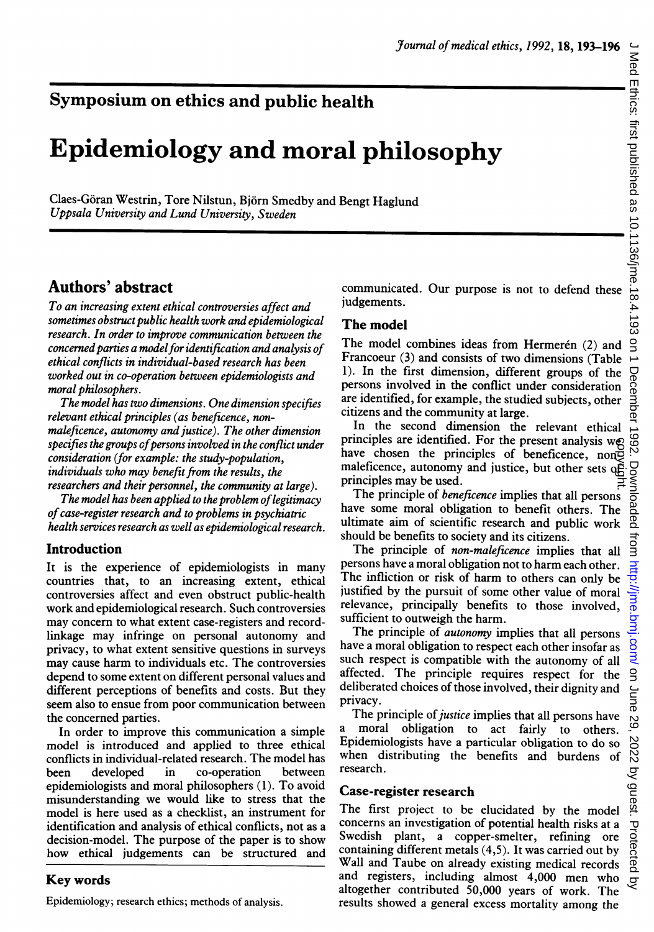# Symposium on ethics and public health

# Epidemiology and moral philosophy

Claes-Goran Westrin, Tore Nilstun, Bjorn Smedby and Bengt Haglund Uppsala University and Lund University, Sweden

# Authors' abstract

To an increasing extent ethical controversies affect and sometimes obstruct public health work and epidemiological research. In order to improve communication between the concerned parties a model for identification and analysis of ethical conflicts in individual-based research has been worked out in co-operation between epidemiologists and moral philosophers.

The model has two dimensions. One dimension specifies relevant ethical principles (as beneficence, nonmaleficence, autonomy and justice). The other dimension specifies the groups of persons involved in the conflict under consideration (for example: the study-population, individuals who may benefit from the results, the researchers and their personnel, the community at large).

The model has been applied to the problem of legitimacy of case-register research and to problems in psychiatric health services research as well as epidemiological research.

### Introduction

It is the experience of epidemiologists in many countries that, to an increasing extent, ethical controversies affect and even obstruct public-health work and epidemiological research. Such controversies may concern to what extent case-registers and recordlinkage may infringe on personal autonomy and privacy, to what extent sensitive questions in surveys may cause harm to individuals etc. The controversies depend to some extent on different personal values and different perceptions of benefits and costs. But they seem also to ensue from poor communication between the concerned parties.

In order to improve this communication <sup>a</sup> simple model is introduced and applied to three ethical conflicts in individual-related research. The model has been developed in co-operation between epidemiologists and moral philosophers (1). To avoid misunderstanding we would like to stress that the model is here used as a checklist, an instrument for identification and analysis of ethical conflicts, not as a decision-model. The purpose of the paper is to show how ethical judgements can be structured and

## Key words

Epidemiology; research ethics; methods of analysis.

communicated. Our purpose is not to defend these judgements.

## The model

The model combines ideas from Hermerén (2) and Francoeur (3) and consists of two dimensions (Table 1). In the first dimension, different groups of the persons involved in the conflict under consideration are identified, for example, the studied subjects, other citizens and the community at large.

In the second dimension the relevant ethical principles are identified. For the present analysis we have chosen the principles of beneficence, non maleficence, autonomy and justice, but other sets of principles may be used.

The principle of *beneficence* implies that all persons have some moral obligation to benefit others. The ultimate aim of scientific research and public work should be benefits to society and its citizens.

The principle of *non-maleficence* implies that all persons have a moral obligation not to harm each other. The infliction or risk of harm to others can only be justified by the pursuit of some other value of moral relevance, principally benefits to those involved, sufficient to outweigh the harm.

The principle of *autonomy* implies that all persons have a moral obligation to respect each other insofar as such respect is compatible with the autonomy of all affected. The principle requires respect for the deliberated choices of those involved, their dignity and privacy.

The principle of *justice* implies that all persons have a moral obligation to act fairly to others. Epidemiologists have a particular obligation to do so when distributing the benefits and burdens of research.

### Case-register research

The first project to be elucidated by the model concerns an investigation of potential health risks at a Swedish plant, a copper-smelter, refining ore containing different metals (4,5). It was carried out by Wall and Taube on already existing medical records and registers, including almost 4,000 men who altogether contributed 50,000 years of work. The punciples are incentured. For the present analysis we<br>phalon chosen the principles of beneficence, norgy maleficence, autonomy and justice, but other sets of<br>principles may be used.<br>The principle of *beneficence* implies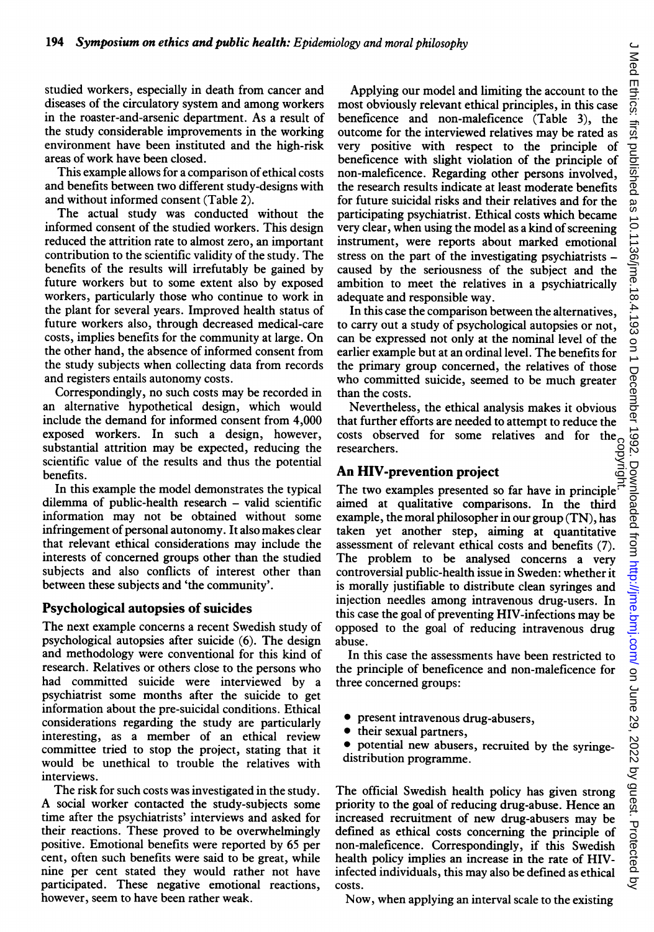studied workers, especially in death from cancer and diseases of the circulatory system and among workers in the roaster-and-arsenic department. As a result of the study considerable improvements in the working environment have been instituted and the high-risk areas of work have been closed.

This example allows for a comparison of ethical costs and benefits between two different study-designs with and without informed consent (Table 2).

The actual study was conducted without the informed consent of the studied workers. This design reduced the attrition rate to almost zero, an important contribution to the scientific validity of the study. The benefits of the results will irrefutably be gained by future workers but to some extent also by exposed workers, particularly those who continue to work in the plant for several years. Improved health status of future workers also, through decreased medical-care costs, implies benefits for the community at large. On the other hand, the absence of informed consent from the study subjects when collecting data from records and registers entails autonomy costs.

Correspondingly, no such costs may be recorded in an alternative hypothetical design, which would include the demand for informed consent from 4,000 exposed workers. In such a design, however, substantial attrition may be expected, reducing the scientific value of the results and thus the potential benefits.

In this example the model demonstrates the typical dilemma of public-health research - valid scientific information may not be obtained without some infringement of personal autonomy. It also makes clear that relevant ethical considerations may include the interests of concerned groups other than the studied subjects and also conflicts of interest other than between these subjects and 'the community'.

#### Psychological autopsies of suicides

The next example concerns <sup>a</sup> recent Swedish study of psychological autopsies after suicide (6). The design and methodology were conventional for this kind of research. Relatives or others close to the persons who had committed suicide were interviewed by a psychiatrist some months after the suicide to get information about the pre-suicidal conditions. Ethical considerations regarding the study are particularly interesting, as a member of an ethical review committee tried to stop the project, stating that it would be unethical to trouble the relatives with interviews.

The risk for such costs was investigated in the study. A social worker contacted the study-subjects some time after the psychiatrists' interviews and asked for their reactions. These proved to be overwhelmingly positive. Emotional benefits were reported by 65 per cent, often such benefits were said to be great, while nine per cent stated they would rather not have participated. These negative emotional reactions, however, seem to have been rather weak.

Applying our model and limiting the account to the most obviously relevant ethical principles, in this case beneficence and non-maleficence (Table 3), the outcome for the interviewed relatives may be rated as very positive with respect to the principle of beneficence with slight violation of the principle of non-maleficence. Regarding other persons involved, the research results indicate at least moderate benefits for future suicidal risks and their relatives and for the participating psychiatrist. Ethical costs which became very clear, when using the model as a kind of screening instrument, were reports about marked emotional stress on the part of the investigating psychiatrists caused by the seriousness of the subject and the ambition to meet the relatives in a psychiatrically adequate and responsible way.

In this case the comparison between the alternatives, to carry out a study of psychological autopsies or not, can be expressed not only at the nominal level of the earlier example but at an ordinal level. The benefits for the primary group concerned, the relatives of those who committed suicide, seemed to be much greater than the costs.

Nevertheless, the ethical analysis makes it obvious that further efforts are needed to attempt to reduce the costs observed for some relatives and for the researchers.

#### An HIV-prevention project

The two examples presented so far have in principle.<br>The two examples presented so far have in principle. aimed at qualitative comparisons. In the third example, the moral philosopher in our group (TN), has taken yet another step, aiming at quantitative assessment of relevant ethical costs and benefits (7). The problem to be analysed concerns <sup>a</sup> very controversial public-health issue in Sweden: whether it is morally justifiable to distribute clean syringes and injection needles among intravenous drug-users. In this case the goal of preventing HIV-infections may be opposed to the goal of reducing intravenous drug abuse.

In this case the assessments have been restricted to the principle of beneficence and non-maleficence for three concerned groups:

- present intravenous drug-abusers,
- their sexual partners,

potential new abusers, recruited by the syringedistribution programme.

The official Swedish health policy has given strong priority to the goal of reducing drug-abuse. Hence an increased recruitment of new drug-abusers may be defined as ethical costs concerning the principle of non-maleficence. Correspondingly, if this Swedish health policy implies an increase in the rate of HIVinfected individuals, this may also be defined as ethical costs.

Now, when applying an interval scale to the existing

 $\overline{\phantom{0}}$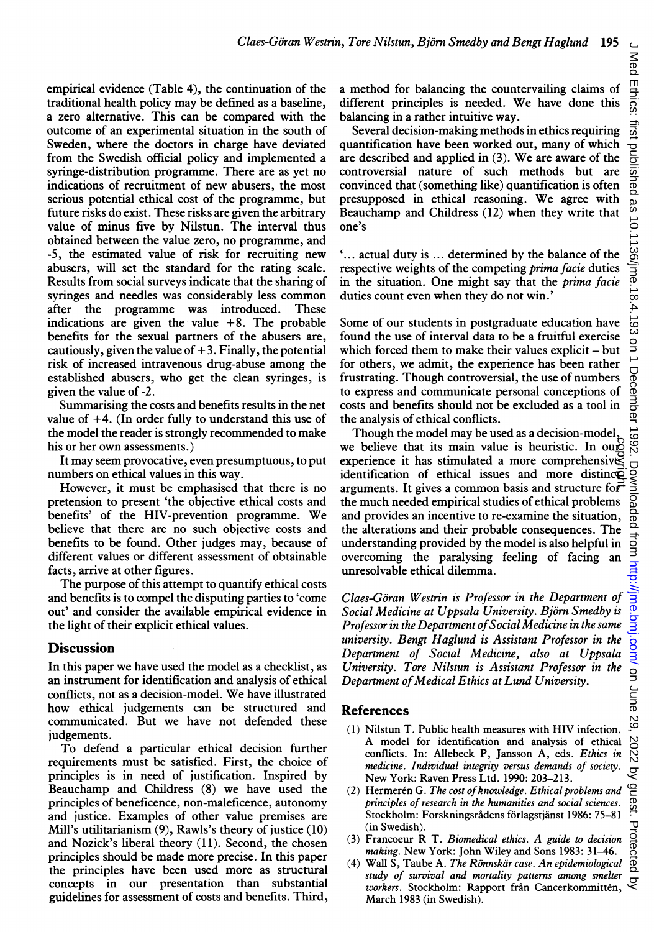empirical evidence (Table 4), the continuation of the traditional health policy may be defined as a baseline, a zero alternative. This can be compared with the outcome of an experimental situation in the south of Sweden, where the doctors in charge have deviated from the Swedish official policy and implemented a syringe-distribution programme. There are as yet no indications of recruitment of new abusers, the most serious potential ethical cost of the programme, but future risks do exist. These risks are given the arbitrary value of minus five by Nilstun. The interval thus obtained between the value zero, no programme, and -5, the estimated value of risk for recruiting new abusers, will set the standard for the rating scale. Results from social surveys indicate that the sharing of syringes and needles was considerably less common after the programme was introduced. These indications are given the value  $+8$ . The probable benefits for the sexual partners of the abusers are, cautiously, given the value of  $+3$ . Finally, the potential risk of increased intravenous drug-abuse among the established abusers, who get the clean syringes, is given the value of -2.

Summarising the costs and benefits results in the net value of  $+4$ . (In order fully to understand this use of the model the reader is strongly recommended to make his or her own assessments.)

It may seem provocative, even presumptuous, to put numbers on ethical values in this way.

However, it must be emphasised that there is no pretension to present 'the objective ethical costs and benefits' of the HIV-prevention programme. We believe that there are no such objective costs and benefits to be found. Other judges may, because of different values or different assessment of obtainable facts, arrive at other figures.

The purpose of this attempt to quantify ethical costs and benefits is to compel the disputing parties to 'come out' and consider the available empirical evidence in the light of their explicit ethical values.

#### **Discussion**

In this paper we have used the model as a checklist, as an instrument for identification and analysis of ethical conflicts, not as a decision-model. We have illustrated how ethical judgements can be structured and communicated. But we have not defended these judgements.

To defend <sup>a</sup> particular ethical decision further requirements must be satisfied. First, the choice of principles is in need of justification. Inspired by Beauchamp and Childress (8) we have used the principles of beneficence, non-maleficence, autonomy and justice. Examples of other value premises are Mill's utilitarianism (9), Rawls's theory of justice (10) and Nozick's liberal theory (11). Second, the chosen principles should be made more precise. In this paper the principles have been used more as structural concepts in our presentation than substantial guidelines for assessment of costs and benefits. Third, a method for balancing the countervailing claims of different principles is needed. We have done this balancing in a rather intuitive way.

Several decision-making methods in ethics requiring quantification have been worked out, many of which are described and applied in (3). We are aware of the controversial nature of such methods but are convinced that (something like) quantification is often presupposed in ethical reasoning. We agree with Beauchamp and Childress (12) when they write that one's

'... actual duty is ... determined by the balance of the respective weights of the competing prima facie duties in the situation. One might say that the prima facie duties count even when they do not win.'

Some of our students in postgraduate education have found the use of interval data to be a fruitful exercise which forced them to make their values explicit - but for others, we admit, the experience has been rather frustrating. Though controversial, the use of numbers to express and communicate personal conceptions of costs and benefits should not be excluded as <sup>a</sup> tool in the analysis of ethical conflicts.

Though the model may be used as <sup>a</sup> decision-model, we believe that its main value is heuristic. In our experience it has stimulated a more comprehensives identification of ethical issues and more distinction we believe that its main value is heuristic. In ough<br>experience it has stimulated a more comprehensive<br>identification of ethical issues and more distince<br>arguments. It gives a common basis and structure forthe much needed empirical studies of ethical problems and provides an incentive to re-examine the situation, the alterations and their probable consequences. The understanding provided by the model is also helpful in overcoming the paralysing feeling of facing an unresolvable ethical dilemma.

Claes-Goran Westrin is Professor in the Department of Social Medicine at Uppsala University. Björn Smedby is Professor in the Department of Social Medicine in the same university. Bengt Haglund is Assistant Professor in the Department of Social Medicine, also at Uppsala University. Tore Nilstun is Assistant Professor in the Department of Medical Ethics at Lund University.

#### References

- (1) Nilstun T. Public health measures with HIV infection. A model for identification and analysis of ethical conflicts. In: Allebeck P, Jansson A, eds. Ethics in medicine. Individual integrity versus demands of society. New York: Raven Press Ltd. 1990: 203-213.
- $(2)$  Hermerén G. The cost of knowledge. Ethical problems and principles of research in the humanities and social sciences. Stockholm: Forskningsradens forlagstjanst 1986: 75-81 (in Swedish).
- (3) Francoeur R T. Biomedical ethics. A guide to decision making. New York: John Wiley and Sons 1983: 31–46.
- (4) Wall S, Taube A. The Rönnskär case. An epidemiological study of survival and mortality patterns among smelter workers. Stockholm: Rapport från Cancerkommittén, March 1983 (in Swedish).